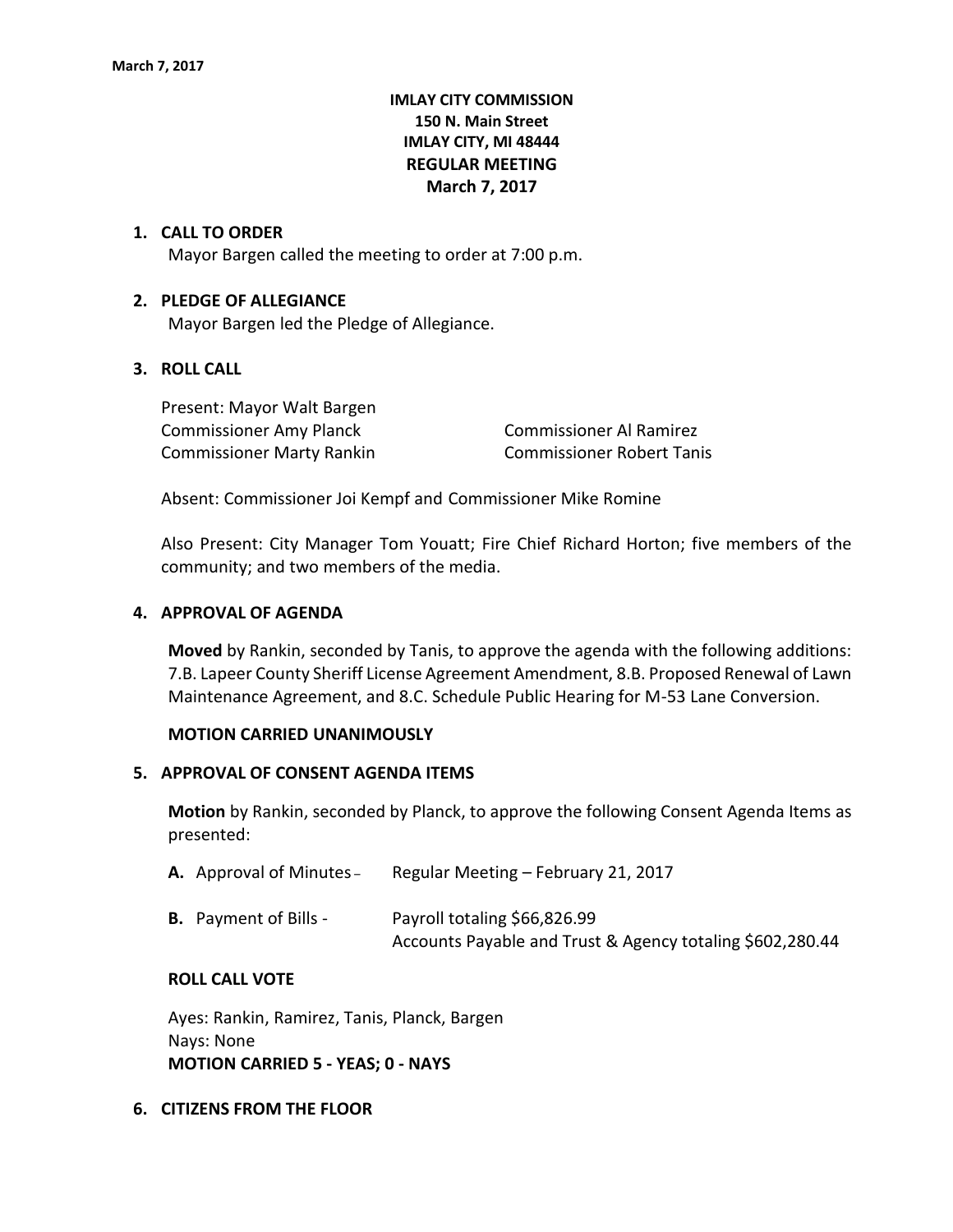# **IMLAY CITY COMMISSION 150 N. Main Street IMLAY CITY, MI 48444 REGULAR MEETING March 7, 2017**

## **1. CALL TO ORDER**

Mayor Bargen called the meeting to order at 7:00 p.m.

### **2. PLEDGE OF ALLEGIANCE**

Mayor Bargen led the Pledge of Allegiance.

## **3. ROLL CALL**

Present: Mayor Walt Bargen Commissioner Amy Planck Commissioner Al Ramirez Commissioner Marty Rankin Commissioner Robert Tanis

Absent: Commissioner Joi Kempf and Commissioner Mike Romine

Also Present: City Manager Tom Youatt; Fire Chief Richard Horton; five members of the community; and two members of the media.

### **4. APPROVAL OF AGENDA**

**Moved** by Rankin, seconded by Tanis, to approve the agenda with the following additions: 7.B. Lapeer County Sheriff License Agreement Amendment, 8.B. Proposed Renewal of Lawn Maintenance Agreement, and 8.C. Schedule Public Hearing for M-53 Lane Conversion.

### **MOTION CARRIED UNANIMOUSLY**

### **5. APPROVAL OF CONSENT AGENDA ITEMS**

**Motion** by Rankin, seconded by Planck, to approve the following Consent Agenda Items as presented:

|  | A. Approval of Minutes - | Regular Meeting - February 21, 2017 |
|--|--------------------------|-------------------------------------|
|--|--------------------------|-------------------------------------|

| <b>B.</b> Payment of Bills - | Payroll totaling \$66,826.99                              |
|------------------------------|-----------------------------------------------------------|
|                              | Accounts Payable and Trust & Agency totaling \$602,280.44 |

### **ROLL CALL VOTE**

Ayes: Rankin, Ramirez, Tanis, Planck, Bargen Nays: None **MOTION CARRIED 5 - YEAS; 0 - NAYS**

### **6. CITIZENS FROM THE FLOOR**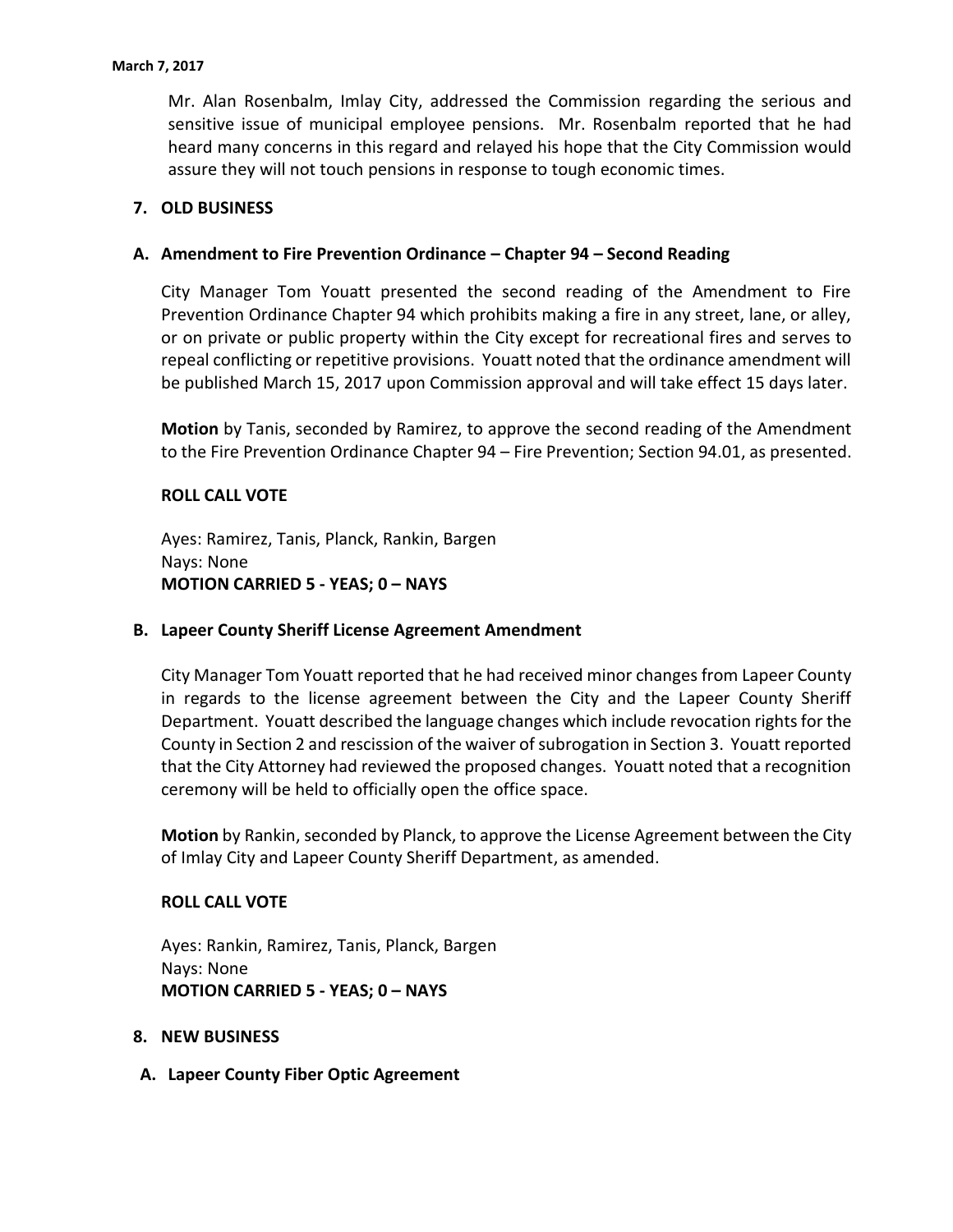Mr. Alan Rosenbalm, Imlay City, addressed the Commission regarding the serious and sensitive issue of municipal employee pensions. Mr. Rosenbalm reported that he had heard many concerns in this regard and relayed his hope that the City Commission would assure they will not touch pensions in response to tough economic times.

# **7. OLD BUSINESS**

# **A. Amendment to Fire Prevention Ordinance – Chapter 94 – Second Reading**

City Manager Tom Youatt presented the second reading of the Amendment to Fire Prevention Ordinance Chapter 94 which prohibits making a fire in any street, lane, or alley, or on private or public property within the City except for recreational fires and serves to repeal conflicting or repetitive provisions. Youatt noted that the ordinance amendment will be published March 15, 2017 upon Commission approval and will take effect 15 days later.

**Motion** by Tanis, seconded by Ramirez, to approve the second reading of the Amendment to the Fire Prevention Ordinance Chapter 94 – Fire Prevention; Section 94.01, as presented.

# **ROLL CALL VOTE**

Ayes: Ramirez, Tanis, Planck, Rankin, Bargen Nays: None **MOTION CARRIED 5 - YEAS; 0 – NAYS**

## **B. Lapeer County Sheriff License Agreement Amendment**

City Manager Tom Youatt reported that he had received minor changes from Lapeer County in regards to the license agreement between the City and the Lapeer County Sheriff Department. Youatt described the language changes which include revocation rights for the County in Section 2 and rescission of the waiver of subrogation in Section 3. Youatt reported that the City Attorney had reviewed the proposed changes. Youatt noted that a recognition ceremony will be held to officially open the office space.

**Motion** by Rankin, seconded by Planck, to approve the License Agreement between the City of Imlay City and Lapeer County Sheriff Department, as amended.

# **ROLL CALL VOTE**

Ayes: Rankin, Ramirez, Tanis, Planck, Bargen Nays: None **MOTION CARRIED 5 - YEAS; 0 – NAYS**

## **8. NEW BUSINESS**

**A. Lapeer County Fiber Optic Agreement**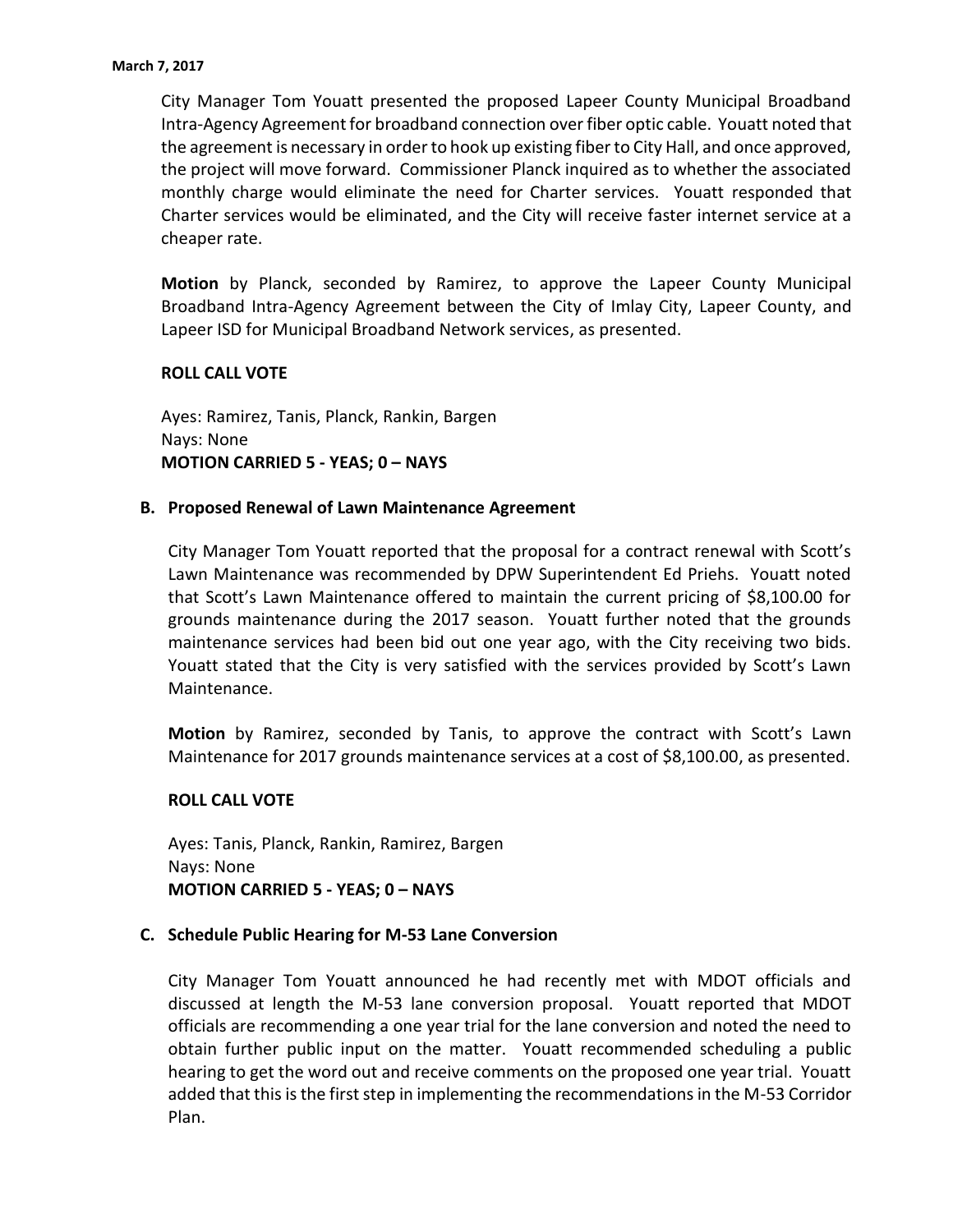City Manager Tom Youatt presented the proposed Lapeer County Municipal Broadband Intra-Agency Agreement for broadband connection over fiber optic cable. Youatt noted that the agreement is necessary in order to hook up existing fiber to City Hall, and once approved, the project will move forward. Commissioner Planck inquired as to whether the associated monthly charge would eliminate the need for Charter services. Youatt responded that Charter services would be eliminated, and the City will receive faster internet service at a cheaper rate.

**Motion** by Planck, seconded by Ramirez, to approve the Lapeer County Municipal Broadband Intra-Agency Agreement between the City of Imlay City, Lapeer County, and Lapeer ISD for Municipal Broadband Network services, as presented.

## **ROLL CALL VOTE**

Ayes: Ramirez, Tanis, Planck, Rankin, Bargen Nays: None **MOTION CARRIED 5 - YEAS; 0 – NAYS**

## **B. Proposed Renewal of Lawn Maintenance Agreement**

City Manager Tom Youatt reported that the proposal for a contract renewal with Scott's Lawn Maintenance was recommended by DPW Superintendent Ed Priehs. Youatt noted that Scott's Lawn Maintenance offered to maintain the current pricing of \$8,100.00 for grounds maintenance during the 2017 season. Youatt further noted that the grounds maintenance services had been bid out one year ago, with the City receiving two bids. Youatt stated that the City is very satisfied with the services provided by Scott's Lawn Maintenance.

**Motion** by Ramirez, seconded by Tanis, to approve the contract with Scott's Lawn Maintenance for 2017 grounds maintenance services at a cost of \$8,100.00, as presented.

### **ROLL CALL VOTE**

Ayes: Tanis, Planck, Rankin, Ramirez, Bargen Nays: None **MOTION CARRIED 5 - YEAS; 0 – NAYS**

### **C. Schedule Public Hearing for M-53 Lane Conversion**

City Manager Tom Youatt announced he had recently met with MDOT officials and discussed at length the M-53 lane conversion proposal. Youatt reported that MDOT officials are recommending a one year trial for the lane conversion and noted the need to obtain further public input on the matter. Youatt recommended scheduling a public hearing to get the word out and receive comments on the proposed one year trial. Youatt added that this is the first step in implementing the recommendations in the M-53 Corridor Plan.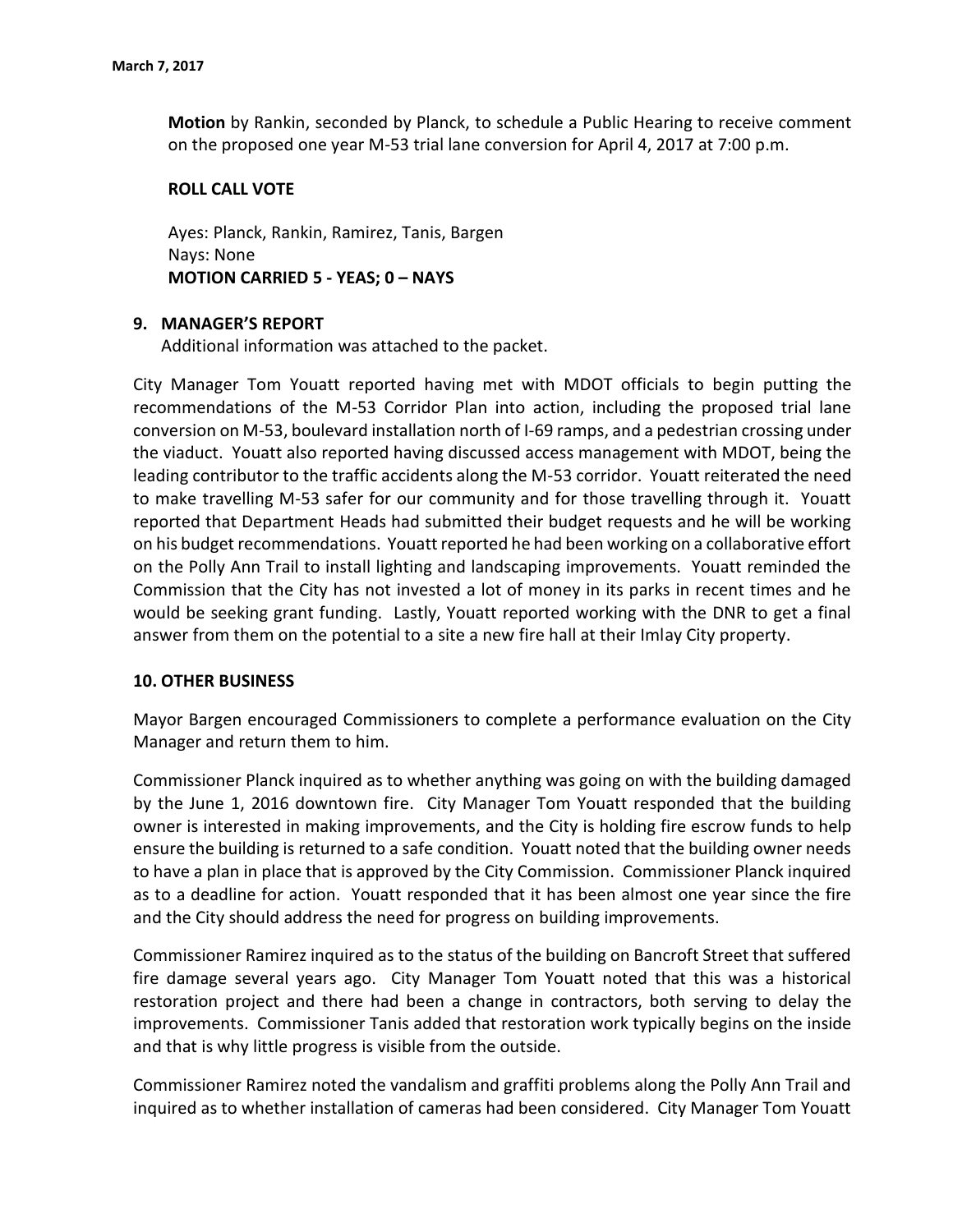**Motion** by Rankin, seconded by Planck, to schedule a Public Hearing to receive comment on the proposed one year M-53 trial lane conversion for April 4, 2017 at 7:00 p.m.

### **ROLL CALL VOTE**

Ayes: Planck, Rankin, Ramirez, Tanis, Bargen Nays: None **MOTION CARRIED 5 - YEAS; 0 – NAYS**

## **9. MANAGER'S REPORT**

Additional information was attached to the packet.

City Manager Tom Youatt reported having met with MDOT officials to begin putting the recommendations of the M-53 Corridor Plan into action, including the proposed trial lane conversion on M-53, boulevard installation north of I-69 ramps, and a pedestrian crossing under the viaduct. Youatt also reported having discussed access management with MDOT, being the leading contributor to the traffic accidents along the M-53 corridor. Youatt reiterated the need to make travelling M-53 safer for our community and for those travelling through it. Youatt reported that Department Heads had submitted their budget requests and he will be working on his budget recommendations. Youatt reported he had been working on a collaborative effort on the Polly Ann Trail to install lighting and landscaping improvements. Youatt reminded the Commission that the City has not invested a lot of money in its parks in recent times and he would be seeking grant funding. Lastly, Youatt reported working with the DNR to get a final answer from them on the potential to a site a new fire hall at their Imlay City property.

## **10. OTHER BUSINESS**

Mayor Bargen encouraged Commissioners to complete a performance evaluation on the City Manager and return them to him.

Commissioner Planck inquired as to whether anything was going on with the building damaged by the June 1, 2016 downtown fire. City Manager Tom Youatt responded that the building owner is interested in making improvements, and the City is holding fire escrow funds to help ensure the building is returned to a safe condition. Youatt noted that the building owner needs to have a plan in place that is approved by the City Commission. Commissioner Planck inquired as to a deadline for action. Youatt responded that it has been almost one year since the fire and the City should address the need for progress on building improvements.

Commissioner Ramirez inquired as to the status of the building on Bancroft Street that suffered fire damage several years ago. City Manager Tom Youatt noted that this was a historical restoration project and there had been a change in contractors, both serving to delay the improvements. Commissioner Tanis added that restoration work typically begins on the inside and that is why little progress is visible from the outside.

Commissioner Ramirez noted the vandalism and graffiti problems along the Polly Ann Trail and inquired as to whether installation of cameras had been considered. City Manager Tom Youatt